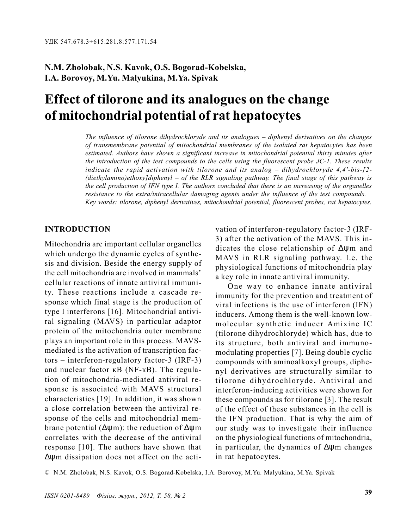# N.M. Zholobak, N.S. Kavok, O.S. Bogorad-Kobelska, I.A. Borovoy, M.Yu. Malyukina, M.Ya. Spivak

# Effect of tilorone and its analogues on the change of mitochondrial potential of rat hepatocytes

The influence of tilorone dihydrochloryde and its analogues  $-$  diphenyl derivatives on the changes of transmembrane potential of mitochondrial membranes of the isolated rat hepatocytes has been estimated. Authors have shown a significant increase in mitochondrial potential thirty minutes after the introduction of the test compounds to the cells using the fluorescent probe JC-1. These results indicate the rapid activation with tilorone and its analog  $-$  dihydrochloryde 4,4'-bis- $[2-$ (diethylamino)ethoxy]diphenyl  $-$  of the RLR signaling pathway. The final stage of this pathway is the cell production of IFN type I. The authors concluded that there is an increasing of the organelles resistance to the extra/intracellular damaging agents under the influence of the test compounds. Key words: tilorone, diphenyl derivatives, mitochondrial potential, fluorescent probes, rat hepatocytes.

# INTRODUCTION

Mitochondria are important cellular organelles which undergo the dynamic cycles of synthesis and division. Beside the energy supply of the cell mitochondria are involved in mammals cellular reactions of innate antiviral immunity. These reactions include a cascade response which final stage is the production of type I interferons [16]. Mitochondrial antiviral signaling (MAVS) in particular adaptor protein of the mitochondria outer membrane plays an important role in this process. MAVSmediated is the activation of transcription fac $tors - interferon-regularatory factor-3 (IRF-3)$ and nuclear factor  $\kappa$ B (NF- $\kappa$ B). The regulation of mitochondria-mediated antiviral response is associated with MAVS structural characteristics [19]. In addition, it was shown a close correlation between the antiviral response of the cells and mitochondrial membrane potential ( $\Delta$ wm): the reduction of  $\Delta$ wm correlates with the decrease of the antiviral response [10]. The authors have shown that ∆ψm dissipation does not affect on the activation of interferon-regulatory factor-3 (IRF-3) after the activation of the MAVS. This indicates the close relationship of ∆ψm and MAVS in RLR signaling pathway. I.e. the physiological functions of mitochondria play a key role in innate antiviral immunity.

One way to enhance innate antiviral immunity for the prevention and treatment of viral infections is the use of interferon (IFN) inducers. Among them is the well-known lowmolecular synthetic inducer Amixine IC (tilorone dihydrochloryde) which has, due to its structure, both antiviral and immunomodulating properties [7]. Being double cyclic compounds with aminoalkoxyl groups, diphenyl derivatives are structurally similar to tilorone dihydrochloryde. Antiviral and interferon-inducing activities were shown for these compounds as for tilorone [3]. The result of the effect of these substances in the cell is the IFN production. That is why the aim of our study was to investigate their influence on the physiological functions of mitochondria, in particular, the dynamics of ∆ψm changes in rat hepatocytes.

© N.M. Zholobak, N.S. Kavok, O.S. Bogorad-Kobelska, I.A. Borovoy, M.Yu. Malyukina, M.Ya. Spivak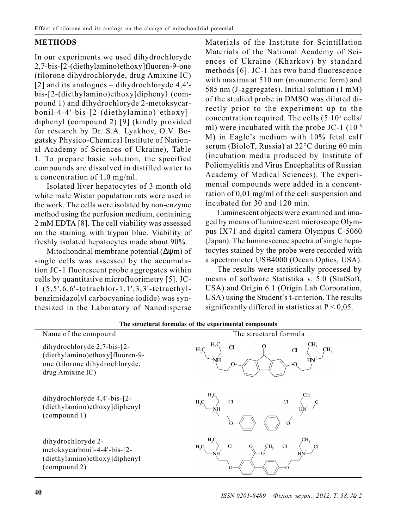## METHODS

In our experiments we used dihydrochloryde 2,7-bis-[2-(diethylamino)ethoxy]fluoren-9-one (tilorone dihydrochloryde, drug Amixine IC) [2] and its analogues  $-$  dihydrochloryde 4,4'bis-[2-(diethylamino)ethoxy]diphenyl (compound 1) and dihydrochloryde 2-metoksycarbonil-4-4'-bis-[2-(diethylamino) ethoxy] diphenyl (compound 2) [9] (kindly provided for research by Dr. S.A. Lyakhov, O.V. Bogatsky Physico-Chemical Institute of National Academy of Sciences of Ukraine), Table 1. To prepare basic solution, the specified compounds are dissolved in distilled water to a concentration of 1,0 mg/ml.

Isolated liver hepatocytes of 3 month old white male Wistar population rats were used in the work. The cells were isolated by non-enzyme method using the perfusion medium, containing 2 mM EDTA [8]. The cell viability was assessed on the staining with trypan blue. Viability of freshly isolated hepatocytes made about 90%.

Mitochondrial membrane potential (∆ψm) of single cells was assessed by the accumulation JC-1 fluorescent probe aggregates within cells by quantitative microfluorimetry [5]. JC-1 (5,5',6,6'-tetrachlor-1,1',3,3'-tetraethylbenzimidazolyl carbocyanine iodide) was synthesized in the Laboratory of Nanodisperse

Materials of the Institute for Scintillation Materials of the National Academy of Sciences of Ukraine (Kharkov) by standard methods [6]. JC-1 has two band fluorescence with maxima at 510 nm (monomeric form) and 585 nm (J-aggregates). Initial solution (1 mM) of the studied probe in DMSO was diluted directly prior to the experiment up to the concentration required. The cells  $(5.10^5 \text{ cells})$ ml) were incubated with the probe JC-1 (10<sup>-6</sup>) M) in Eagle's medium with 10% fetal calf serum (BioloT, Russia) at  $22^{\circ}$ C during 60 min (incubation media produced by Institute of Poliomyelitis and Virus Encephalitis of Russian Academy of Medical Sciences). The experimental compounds were added in a concentration of 0,01 mg/ml of the cell suspension and incubated for 30 and 120 min.

Luminescent objects were examined and imaged by means of luminescent microscope Olympus IX71 and digital camera Olympus C-5060 (Japan). The luminescence spectra of single hepatocytes stained by the probe were recorded with a spectrometer USB4000 (Ocean Optics, USA).

The results were statistically processed by means of software Statistika v. 5.0 (StatSoft, USA) and Origin 6.1 (Origin Lab Corporation, USA) using the Student's t-criterion. The results significantly differed in statistics at  $P < 0.05$ .

| Name of the compound                                                                                                 | The structural formula            |
|----------------------------------------------------------------------------------------------------------------------|-----------------------------------|
| dihydrochloryde 2,7-bis-[2-<br>(diethylamino)ethoxy]fluoren-9-<br>one (tilorone dihydrochloryde,<br>drug Amixine IC) | $H_3C$                            |
| dihydrochloryde 4,4'-bis-[2-<br>(diethylamino) ethoxy] diphenyl<br>(compound 1)                                      | $\operatorname{Cl}^-$<br>$H_3C_1$ |
| dihydrochloryde 2-<br>metoksycarbonil-4-4'-bis-[2-<br>(diethylamino) ethoxy] diphenyl<br>(compound 2)                | CH <sub>3</sub><br>C1<br>$H_3C$   |

The structural formulas of the experimental compounds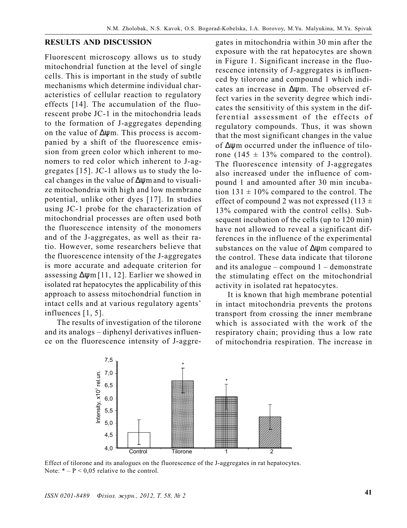#### RESULTS AND DISCUSSION

Fluorescent microscopy allows us to study mitochondrial function at the level of single cells. This is important in the study of subtle mechanisms which determine individual characteristics of cellular reaction to regulatory effects [14]. The accumulation of the fluorescent probe JC-1 in the mitochondria leads to the formation of J-aggregates depending on the value of ∆ψm. This process is accompanied by a shift of the fluorescence emission from green color which inherent to monomers to red color which inherent to J-aggregates [15]. JC-1 allows us to study the local changes in the value of ∆ψm and to visualize mitochondria with high and low membrane potential, unlike other dyes [17]. In studies using JC-1 probe for the characterization of mitochondrial processes are often used both the fluorescence intensity of the monomers and of the J-aggregates, as well as their ratio. However, some researchers believe that the fluorescence intensity of the J-aggregates is more accurate and adequate criterion for assessing ∆ψm [11, 12]. Earlier we showed in isolated rat hepatocytes the applicability of this approach to assess mitochondrial function in intact cells and at various regulatory agents' influences [1, 5].

The results of investigation of the tilorone and its analogs - diphenyl derivatives influence on the fluorescence intensity of J-aggregates in mitochondria within 30 min after the exposure with the rat hepatocytes are shown in Figure 1. Significant increase in the fluorescence intensity of J-aggregates is influenced by tilorone and compound 1 which indicates an increase in ∆ψm. The observed effect varies in the severity degree which indicates the sensitivity of this system in the differential assessment of the effects of regulatory compounds. Thus, it was shown that the most significant changes in the value of ∆ψm occurred under the influence of tilorone (145  $\pm$  13% compared to the control). The fluorescence intensity of J-aggregates also increased under the influence of compound 1 and amounted after 30 min incubation  $131 \pm 10\%$  compared to the control. The effect of compound 2 was not expressed (113  $\pm$ 13% compared with the control cells). Subsequent incubation of the cells (up to 120 min) have not allowed to reveal a significant differences in the influence of the experimental substances on the value of ∆ψm compared to the control. These data indicate that tilorone and its analogue  $-\text{compound } 1 - \text{demonstrate}$ the stimulating effect on the mitochondrial activity in isolated rat hepatocytes.

It is known that high membrane potential in intact mitochondria prevents the protons transport from crossing the inner membrane which is associated with the work of the respiratory chain; providing thus a low rate of mitochondria respiration. The increase in



Effect of tilorone and its analogues on the fluorescence of the J-aggregates in rat hepatocytes. Note:  $* - P < 0.05$  relative to the control.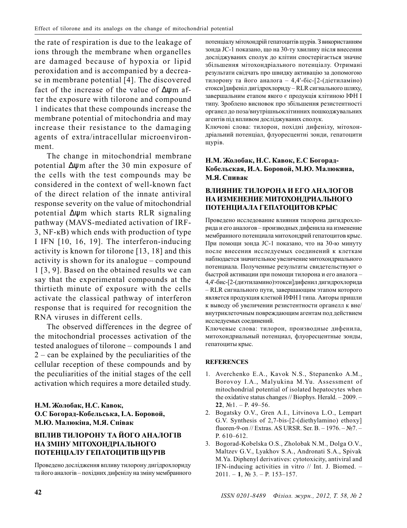the rate of respiration is due to the leakage of ions through the membrane when organelles are damaged because of hypoxia or lipid peroxidation and is accompanied by a decrease in membrane potential [4]. The discovered fact of the increase of the value of ∆ψm after the exposure with tilorone and compound 1 indicates that these compounds increase the membrane potential of mitochondria and may increase their resistance to the damaging agents of extra/intracellular microenvironment.

The change in mitochondrial membrane potential ∆ψm after the 30 min exposure of the cells with the test compounds may be considered in the context of well-known fact of the direct relation of the innate antiviral response severity on the value of mitochondrial potential ∆ψm which starts RLR signaling pathway (MAVS-mediated activation of IRF- $3$ , NF- $\kappa$ B) which ends with production of type I IFN [10, 16, 19]. The interferon-inducing activity is known for tilorone [13, 18] and this activity is shown for its analogue  $-\text{compound}$ 1 [3, 9]. Based on the obtained results we can say that the experimental compounds at the thirtieth minute of exposure with the cells activate the classical pathway of interferon response that is required for recognition the RNA viruses in different cells.

The observed differences in the degree of the mitochondrial processes activation of the tested analogues of tilorone – compounds 1 and  $2 -$  can be explained by the peculiarities of the cellular reception of these compounds and by the peculiarities of the initial stages of the cell activation which requires a more detailed study.

#### Н.М. Жолобак, Н.С. Кавок, О.С Богорад-Кобельська, І.А. Боровой, М.Ю. Малюкіна, М.Я. Співак

### ВПЛИВ ТИЛОРОНУ ТА ЙОГО АНАЛОГІВ НА ЗМІНУ МІТОХОНДРІАЛЬНОГО ПОТЕНЦІАЛУ ГЕПАТОЦИТІВ ЩУРІВ

Проведено дослідження впливу тилорону дигідрохлориду та його аналогів - похідних дифенілу на зміну мембранного потенціалу мітохондрій гепатоцитів щурів. З використанням зонда ЈС-1 показано, що на 30-ту хвилину після внесення досліджуваних сполук до клітин спостерігається значне збільшення мітохондріального потенціалу. Отримані результати свідчать про швидку активацію за допомогою тилорону та його аналога - 4,4'-біс-[2-(діетиламіно) етокси]дифеніл дигідрохлориду - RLR сигнального шляху, завершальним етапом якого є продукція клітиною ІФН І типу. Зроблено висновок про збільшення резистентності органел до поза/внутрішньоклітинних пошкоджувальних агентів під впливом досліджуваних сполук.

Ключові слова: тилорон, похідні дифенілу, мітохондріальний потенціал, флуоресцентні зонди, гепатоцити щурів.

#### Н.М. Жолобак, Н.С. Кавок, Е.С Богорад-Кобельская, И.А. Боровой, М.Ю. Малюкина, М.Я. Спивак

#### ВЛИЯНИЕ ТИЛОРОНА И ЕГО АНАЛОГОВ НА ИЗМЕНЕНИЕ МИТОХОНЛРИАЛЬНОГО ПОТЕНЦИАЛА ГЕПАТОЦИТОВ КРЫС

Проведено исследование влияния тилорона дигидрохлорида и его аналогов - производных дифенила на изменение мембранного потенциала митохондрий гепатоцитов крыс. При помощи зонда JC-1 показано, что на 30-ю минуту после внесения исследуемых соединений к клеткам наблюдается значительное увеличение митохондриального потенциала. Полученные результаты свидетельствуют о быстрой активации при помощи тилорона и его аналога -4,4'-бис-[2-(диэтиламино)этокси]дифенил дигидрохлорида - RLR сигнального пути, завершающим этапом которого является продукция клеткой ИФН I типа. Авторы пришли к выводу об увеличении резистентности органелл к вне/ внутриклеточным повреждающим агентам под действием исследуемых соединений.

Ключевые слова: тилорон, производные дифенила, митохондриальный потенциал, флуоресцентные зонды, гепатоциты крыс.

#### **REFERENCES**

- 1. Averchenko E.A., Kavok N.S., Stepanenko A.M., Borovoy I.A., Malyukina M.Yu. Assessment of mitochondrial potential of isolated hepatocytes when the oxidative status changes  $//$  Biophys. Herald.  $-2009$ .  $22$ ,  $N<sub>2</sub>1$ . - P. 49-56.
- 2. Bogatsky O.V., Gren A.I., Litvinova L.O., Lempart G.V. Synthesis of 2,7-bis-[2-(diethylamino) ethoxy] fluoren-9-on // Extras. AS URSR. Ser. B.  $-1976. - N27. P. 610 - 612.$
- 3. Bogorad-Kobelska O.S., Zholobak N.M., Dolga O.V., Maltzev G.V., Lyakhov S.A., Andronati S.A., Spivak M.Ya. Diphenyl derivatives: cytotoxicity, antiviral and IFN-inducing activities in vitro  $//$  Int. J. Biomed.  $2011. - 1$ ,  $N_2$  3. - P. 153-157.